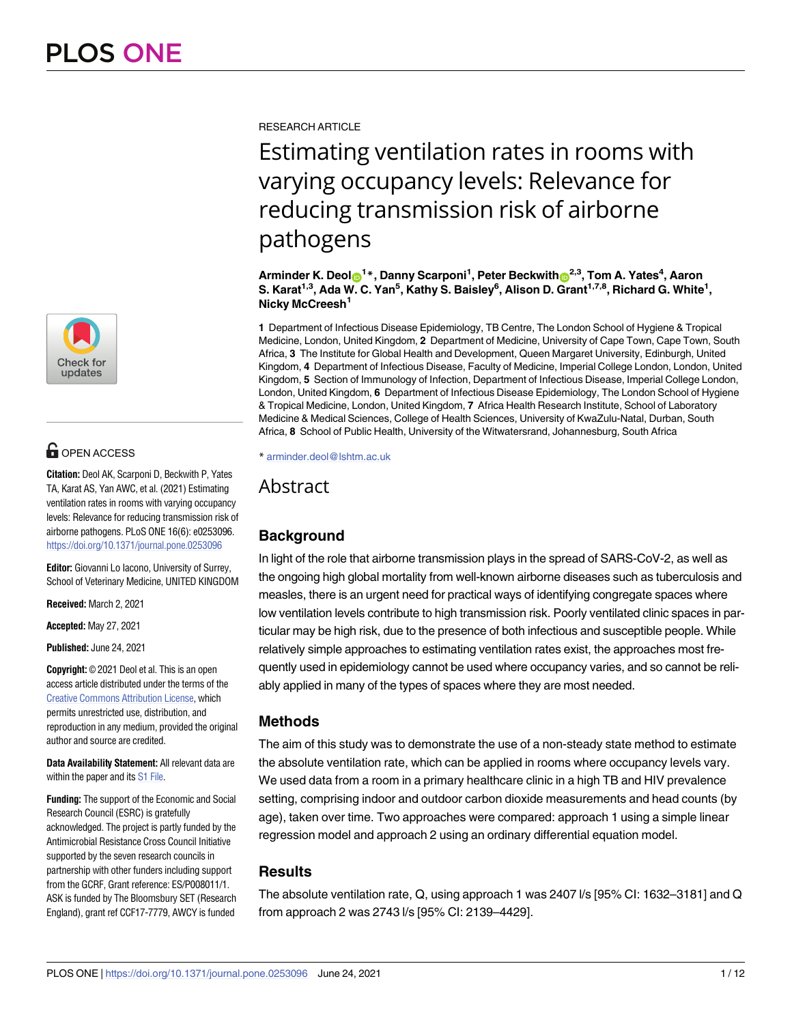

## **OPEN ACCESS**

**Citation:** Deol AK, Scarponi D, Beckwith P, Yates TA, Karat AS, Yan AWC, et al. (2021) Estimating ventilation rates in rooms with varying occupancy levels: Relevance for reducing transmission risk of airborne pathogens. PLoS ONE 16(6): e0253096. <https://doi.org/10.1371/journal.pone.0253096>

**Editor:** Giovanni Lo Iacono, University of Surrey, School of Veterinary Medicine, UNITED KINGDOM

**Received:** March 2, 2021

**Accepted:** May 27, 2021

**Published:** June 24, 2021

**Copyright:** © 2021 Deol et al. This is an open access article distributed under the terms of the Creative Commons [Attribution](http://creativecommons.org/licenses/by/4.0/) License, which permits unrestricted use, distribution, and reproduction in any medium, provided the original author and source are credited.

**Data Availability Statement:** All relevant data are within the paper and its S1 [File](#page-9-0).

**Funding:** The support of the Economic and Social Research Council (ESRC) is gratefully acknowledged. The project is partly funded by the Antimicrobial Resistance Cross Council Initiative supported by the seven research councils in partnership with other funders including support from the GCRF, Grant reference: ES/P008011/1. ASK is funded by The Bloomsbury SET (Research England), grant ref CCF17-7779, AWCY is funded RESEARCH ARTICLE

# Estimating ventilation rates in rooms with varying occupancy levels: Relevance for reducing transmission risk of airborne pathogens

 $\mathbf{A}\mathbf{r}$ minder K. Deol $\mathbf{O}^{1*}$ , Danny Scarponi<sup>1</sup>, Peter Beckwith $\mathbf{O}^{2,3}$ , Tom A. Yates<sup>4</sup>, Aaron **S. Karat1,3, Ada W. C. Yan5 , Kathy S. Baisley6 , Alison D. Grant1,7,8, Richard G. White1 , Nicky McCreesh1**

**1** Department of Infectious Disease Epidemiology, TB Centre, The London School of Hygiene & Tropical Medicine, London, United Kingdom, **2** Department of Medicine, University of Cape Town, Cape Town, South Africa, **3** The Institute for Global Health and Development, Queen Margaret University, Edinburgh, United Kingdom, **4** Department of Infectious Disease, Faculty of Medicine, Imperial College London, London, United Kingdom, **5** Section of Immunology of Infection, Department of Infectious Disease, Imperial College London, London, United Kingdom, **6** Department of Infectious Disease Epidemiology, The London School of Hygiene & Tropical Medicine, London, United Kingdom, **7** Africa Health Research Institute, School of Laboratory Medicine & Medical Sciences, College of Health Sciences, University of KwaZulu-Natal, Durban, South Africa, **8** School of Public Health, University of the Witwatersrand, Johannesburg, South Africa

\* arminder.deol@lshtm.ac.uk

Abstract

## **Background**

In light of the role that airborne transmission plays in the spread of SARS-CoV-2, as well as the ongoing high global mortality from well-known airborne diseases such as tuberculosis and measles, there is an urgent need for practical ways of identifying congregate spaces where low ventilation levels contribute to high transmission risk. Poorly ventilated clinic spaces in particular may be high risk, due to the presence of both infectious and susceptible people. While relatively simple approaches to estimating ventilation rates exist, the approaches most frequently used in epidemiology cannot be used where occupancy varies, and so cannot be reliably applied in many of the types of spaces where they are most needed.

## **Methods**

The aim of this study was to demonstrate the use of a non-steady state method to estimate the absolute ventilation rate, which can be applied in rooms where occupancy levels vary. We used data from a room in a primary healthcare clinic in a high TB and HIV prevalence setting, comprising indoor and outdoor carbon dioxide measurements and head counts (by age), taken over time. Two approaches were compared: approach 1 using a simple linear regression model and approach 2 using an ordinary differential equation model.

## **Results**

The absolute ventilation rate, Q, using approach 1 was 2407 l/s [95% CI: 1632–3181] and Q from approach 2 was 2743 l/s [95% CI: 2139–4429].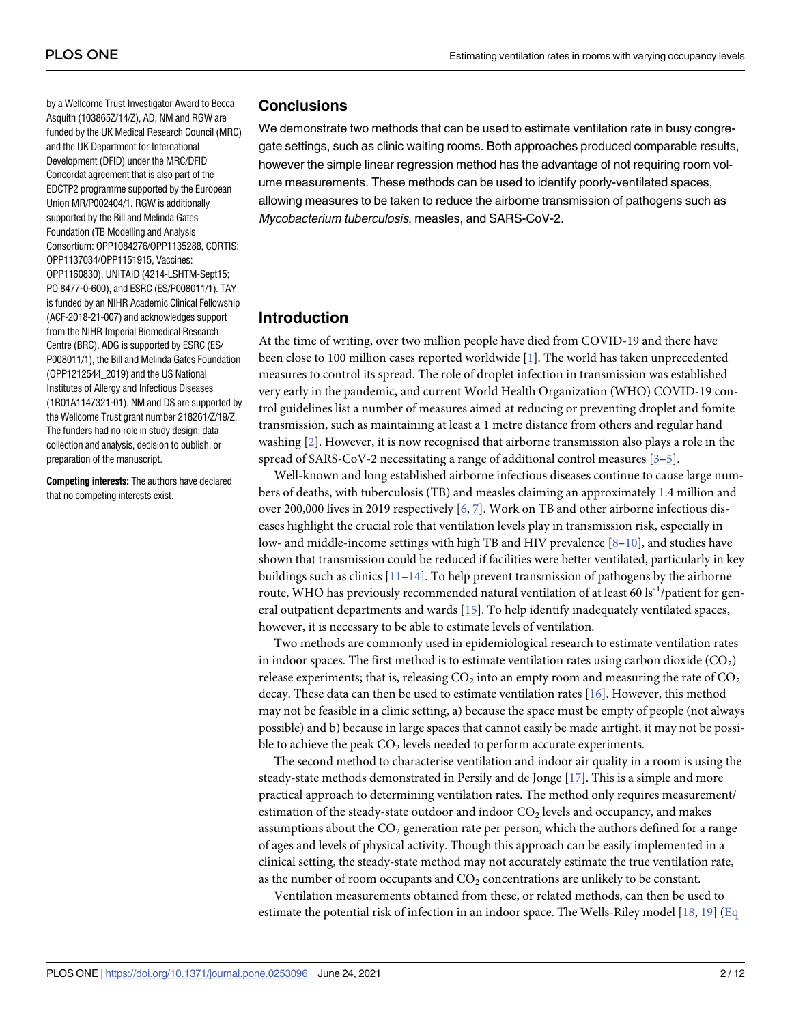<span id="page-1-0"></span>by a Wellcome Trust Investigator Award to Becca Asquith (103865Z/14/Z), AD, NM and RGW are funded by the UK Medical Research Council (MRC) and the UK Department for International Development (DFID) under the MRC/DFID Concordat agreement that is also part of the EDCTP2 programme supported by the European Union MR/P002404/1. RGW is additionally supported by the Bill and Melinda Gates Foundation (TB Modelling and Analysis Consortium: OPP1084276/OPP1135288, CORTIS: OPP1137034/OPP1151915, Vaccines: OPP1160830), UNITAID (4214-LSHTM-Sept15; PO 8477-0-600), and ESRC (ES/P008011/1). TAY is funded by an NIHR Academic Clinical Fellowship (ACF-2018-21-007) and acknowledges support from the NIHR Imperial Biomedical Research Centre (BRC). ADG is supported by ESRC (ES/ P008011/1), the Bill and Melinda Gates Foundation (OPP1212544\_2019) and the US National Institutes of Allergy and Infectious Diseases (1R01A1147321-01). NM and DS are supported by the Wellcome Trust grant number 218261/Z/19/Z. The funders had no role in study design, data collection and analysis, decision to publish, or preparation of the manuscript.

**Competing interests:** The authors have declared that no competing interests exist.

## **Conclusions**

We demonstrate two methods that can be used to estimate ventilation rate in busy congregate settings, such as clinic waiting rooms. Both approaches produced comparable results, however the simple linear regression method has the advantage of not requiring room volume measurements. These methods can be used to identify poorly-ventilated spaces, allowing measures to be taken to reduce the airborne transmission of pathogens such as Mycobacterium tuberculosis, measles, and SARS-CoV-2.

## **Introduction**

At the time of writing, over two million people have died from COVID-19 and there have been close to 100 million cases reported worldwide [[1\]](#page-10-0). The world has taken unprecedented measures to control its spread. The role of droplet infection in transmission was established very early in the pandemic, and current World Health Organization (WHO) COVID-19 control guidelines list a number of measures aimed at reducing or preventing droplet and fomite transmission, such as maintaining at least a 1 metre distance from others and regular hand washing [\[2](#page-10-0)]. However, it is now recognised that airborne transmission also plays a role in the spread of SARS-CoV-2 necessitating a range of additional control measures [\[3–5](#page-10-0)].

Well-known and long established airborne infectious diseases continue to cause large numbers of deaths, with tuberculosis (TB) and measles claiming an approximately 1.4 million and over 200,000 lives in 2019 respectively [\[6](#page-10-0), [7](#page-10-0)]. Work on TB and other airborne infectious diseases highlight the crucial role that ventilation levels play in transmission risk, especially in low- and middle-income settings with high TB and HIV prevalence [\[8–10\]](#page-10-0), and studies have shown that transmission could be reduced if facilities were better ventilated, particularly in key buildings such as clinics  $[11-14]$ . To help prevent transmission of pathogens by the airborne route, WHO has previously recommended natural ventilation of at least 60 ls<sup>-1</sup>/patient for general outpatient departments and wards [\[15\]](#page-10-0). To help identify inadequately ventilated spaces, however, it is necessary to be able to estimate levels of ventilation.

Two methods are commonly used in epidemiological research to estimate ventilation rates in indoor spaces. The first method is to estimate ventilation rates using carbon dioxide  $(CO_2)$ release experiments; that is, releasing  $CO<sub>2</sub>$  into an empty room and measuring the rate of  $CO<sub>2</sub>$ decay. These data can then be used to estimate ventilation rates [[16](#page-10-0)]. However, this method may not be feasible in a clinic setting, a) because the space must be empty of people (not always possible) and b) because in large spaces that cannot easily be made airtight, it may not be possible to achieve the peak  $CO<sub>2</sub>$  levels needed to perform accurate experiments.

The second method to characterise ventilation and indoor air quality in a room is using the steady-state methods demonstrated in Persily and de Jonge [\[17\]](#page-10-0). This is a simple and more practical approach to determining ventilation rates. The method only requires measurement/ estimation of the steady-state outdoor and indoor  $CO<sub>2</sub>$  levels and occupancy, and makes assumptions about the  $CO<sub>2</sub>$  generation rate per person, which the authors defined for a range of ages and levels of physical activity. Though this approach can be easily implemented in a clinical setting, the steady-state method may not accurately estimate the true ventilation rate, as the number of room occupants and  $CO<sub>2</sub>$  concentrations are unlikely to be constant.

Ventilation measurements obtained from these, or related methods, can then be used to estimate the potential risk of infection in an indoor space. The Wells-Riley model [[18](#page-10-0), [19](#page-10-0)] [\(Eq](#page-2-0)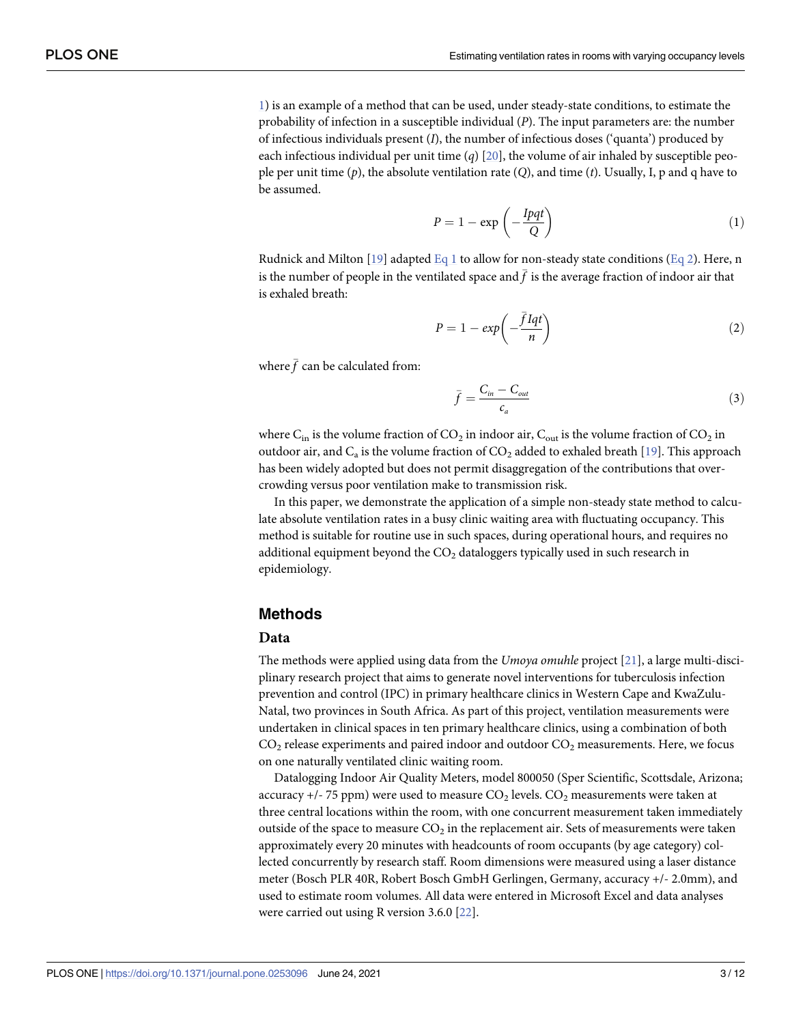<span id="page-2-0"></span>1) is an example of a method that can be used, under steady-state conditions, to estimate the probability of infection in a susceptible individual (*P*). The input parameters are: the number of infectious individuals present (*I*), the number of infectious doses ('quanta') produced by each infectious individual per unit time  $(q)$  [[20](#page-11-0)], the volume of air inhaled by susceptible people per unit time (*p*), the absolute ventilation rate (*Q*), and time (*t*). Usually, I, p and q have to be assumed.

$$
P = 1 - \exp\left(-\frac{I p q t}{Q}\right) \tag{1}
$$

Rudnick and Milton [[19](#page-10-0)] adapted Eq 1 to allow for non-steady state conditions (Eq 2). Here, n is the number of people in the ventilated space and  $\bar{f}$  is the average fraction of indoor air that is exhaled breath:

$$
P = 1 - exp\left(-\frac{\bar{f} Iqt}{n}\right) \tag{2}
$$

where  $\bar{f}$  can be calculated from:

$$
\bar{f} = \frac{C_{in} - C_{out}}{c_a} \tag{3}
$$

where  $C_{in}$  is the volume fraction of  $CO_2$  in indoor air,  $C_{out}$  is the volume fraction of  $CO_2$  in outdoor air, and  $C_a$  is the volume fraction of  $CO_2$  added to exhaled breath [[19](#page-10-0)]. This approach has been widely adopted but does not permit disaggregation of the contributions that overcrowding versus poor ventilation make to transmission risk.

In this paper, we demonstrate the application of a simple non-steady state method to calculate absolute ventilation rates in a busy clinic waiting area with fluctuating occupancy. This method is suitable for routine use in such spaces, during operational hours, and requires no additional equipment beyond the  $CO<sub>2</sub>$  dataloggers typically used in such research in epidemiology.

#### **Methods**

#### **Data**

The methods were applied using data from the *Umoya omuhle* project [\[21\]](#page-11-0), a large multi-disciplinary research project that aims to generate novel interventions for tuberculosis infection prevention and control (IPC) in primary healthcare clinics in Western Cape and KwaZulu-Natal, two provinces in South Africa. As part of this project, ventilation measurements were undertaken in clinical spaces in ten primary healthcare clinics, using a combination of both  $CO<sub>2</sub>$  release experiments and paired indoor and outdoor  $CO<sub>2</sub>$  measurements. Here, we focus on one naturally ventilated clinic waiting room.

Datalogging Indoor Air Quality Meters, model 800050 (Sper Scientific, Scottsdale, Arizona; accuracy  $+/-$  75 ppm) were used to measure  $CO<sub>2</sub>$  levels.  $CO<sub>2</sub>$  measurements were taken at three central locations within the room, with one concurrent measurement taken immediately outside of the space to measure  $CO<sub>2</sub>$  in the replacement air. Sets of measurements were taken approximately every 20 minutes with headcounts of room occupants (by age category) collected concurrently by research staff. Room dimensions were measured using a laser distance meter (Bosch PLR 40R, Robert Bosch GmbH Gerlingen, Germany, accuracy +/- 2.0mm), and used to estimate room volumes. All data were entered in Microsoft Excel and data analyses were carried out using R version 3.6.0 [\[22\]](#page-11-0).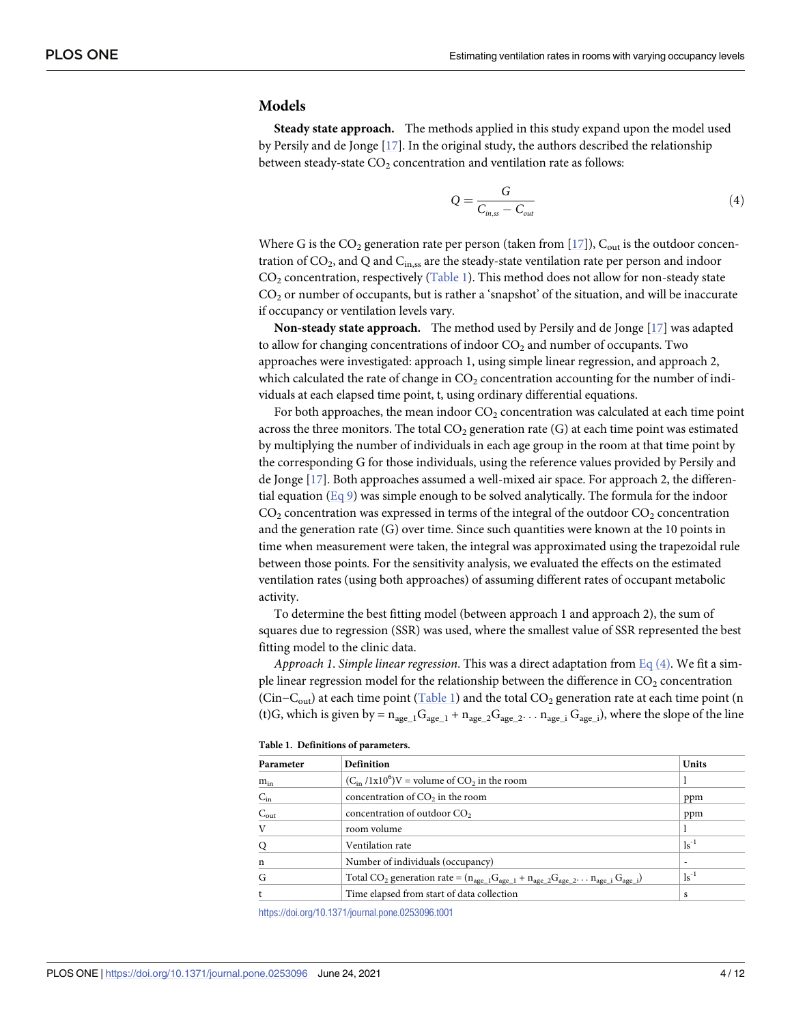#### <span id="page-3-0"></span>**Models**

**Steady state approach.** The methods applied in this study expand upon the model used by Persily and de Jonge [\[17\]](#page-10-0). In the original study, the authors described the relationship between steady-state  $CO<sub>2</sub>$  concentration and ventilation rate as follows:

$$
Q = \frac{G}{C_{in,ss} - C_{out}}\tag{4}
$$

Where G is the  $CO_2$  generation rate per person (taken from [\[17\]](#page-10-0)),  $C_{\text{out}}$  is the outdoor concentration of  $CO_2$ , and Q and  $C_{\text{in,ss}}$  are the steady-state ventilation rate per person and indoor  $CO<sub>2</sub>$  concentration, respectively (Table 1). This method does not allow for non-steady state  $CO<sub>2</sub>$  or number of occupants, but is rather a 'snapshot' of the situation, and will be inaccurate if occupancy or ventilation levels vary.

**Non-steady state approach.** The method used by Persily and de Jonge [\[17\]](#page-10-0) was adapted to allow for changing concentrations of indoor  $CO<sub>2</sub>$  and number of occupants. Two approaches were investigated: approach 1, using simple linear regression, and approach 2, which calculated the rate of change in  $CO<sub>2</sub>$  concentration accounting for the number of individuals at each elapsed time point, t, using ordinary differential equations.

For both approaches, the mean indoor  $CO<sub>2</sub>$  concentration was calculated at each time point across the three monitors. The total  $CO<sub>2</sub>$  generation rate (G) at each time point was estimated by multiplying the number of individuals in each age group in the room at that time point by the corresponding G for those individuals, using the reference values provided by Persily and de Jonge [\[17\]](#page-10-0). Both approaches assumed a well-mixed air space. For approach 2, the differential equation  $(Eq 9)$  $(Eq 9)$  was simple enough to be solved analytically. The formula for the indoor  $CO<sub>2</sub>$  concentration was expressed in terms of the integral of the outdoor  $CO<sub>2</sub>$  concentration and the generation rate (G) over time. Since such quantities were known at the 10 points in time when measurement were taken, the integral was approximated using the trapezoidal rule between those points. For the sensitivity analysis, we evaluated the effects on the estimated ventilation rates (using both approaches) of assuming different rates of occupant metabolic activity.

To determine the best fitting model (between approach 1 and approach 2), the sum of squares due to regression (SSR) was used, where the smallest value of SSR represented the best fitting model to the clinic data.

*Approach 1*. *Simple linear regression*. This was a direct adaptation from Eq (4). We fit a simple linear regression model for the relationship between the difference in  $CO<sub>2</sub>$  concentration (Cin–C<sub>out</sub>) at each time point (Table 1) and the total  $CO_2$  generation rate at each time point (n (t)G, which is given by =  $n_{\text{age}-1}G_{\text{age}-1} + n_{\text{age}-2}G_{\text{age}-2}...$   $n_{\text{age}-i}G_{\text{age}-i}$ ), where the slope of the line

| Parameter        | Definition                                                                                             |                    |  |
|------------------|--------------------------------------------------------------------------------------------------------|--------------------|--|
| $m_{in}$         | $(C_{in}/1x10^6)V$ = volume of CO <sub>2</sub> in the room                                             |                    |  |
| $C_{in}$         | concentration of $CO2$ in the room                                                                     | ppm                |  |
| $C_{\text{out}}$ | concentration of outdoor CO <sub>2</sub>                                                               | ppm                |  |
| V                | room volume                                                                                            |                    |  |
| Q                | Ventilation rate                                                                                       | $\mathrm{ls}^{-1}$ |  |
| n                | Number of individuals (occupancy)                                                                      |                    |  |
| G                | Total CO <sub>2</sub> generation rate = $(n_{age 1}G_{age_1} + n_{age_2}G_{age_2} n_{age_i}G_{age_i})$ | $\mathrm{ls}^{-1}$ |  |
|                  | Time elapsed from start of data collection                                                             | s                  |  |

**Table 1. Definitions of parameters.**

<https://doi.org/10.1371/journal.pone.0253096.t001>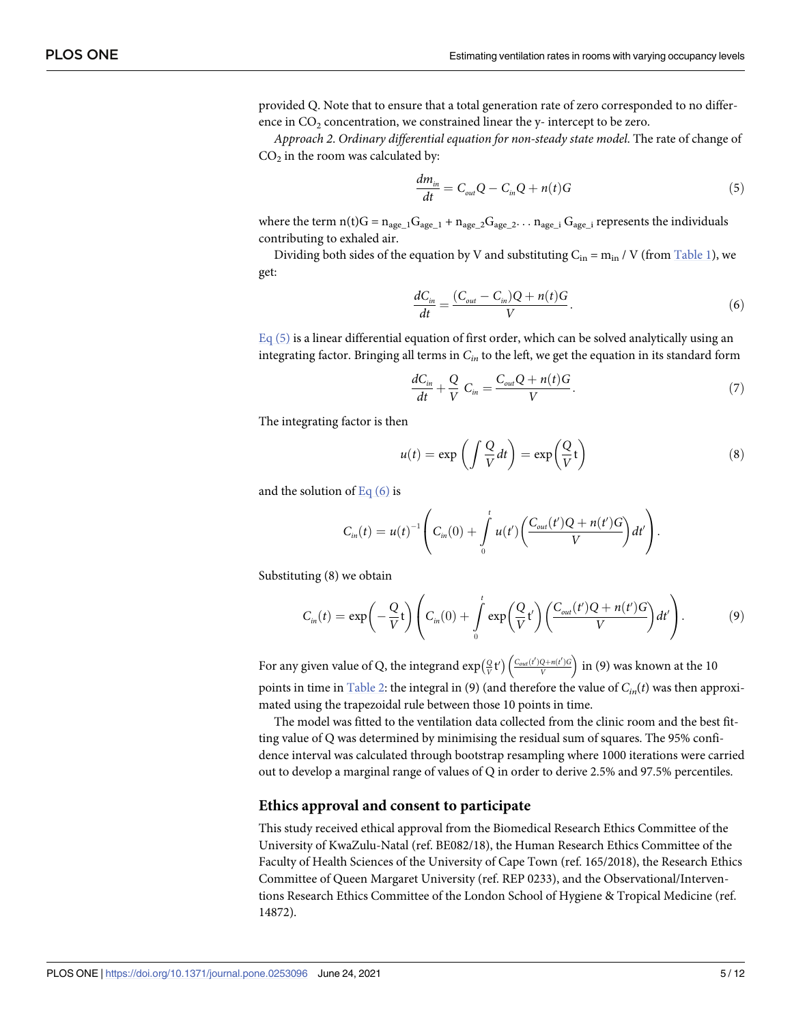<span id="page-4-0"></span>provided Q. Note that to ensure that a total generation rate of zero corresponded to no difference in  $CO<sub>2</sub>$  concentration, we constrained linear the y- intercept to be zero.

*Approach 2*. *Ordinary differential equation for non-steady state model*. The rate of change of  $CO<sub>2</sub>$  in the room was calculated by:

$$
\frac{dm_{in}}{dt} = C_{out}Q - C_{in}Q + n(t)G\tag{5}
$$

where the term  $n(t)G = n_{age\_1}G_{age\_1} + n_{age\_2}G_{age\_2}... n_{age\_i}$  G<sub>age\_i</sub> represents the individuals contributing to exhaled air.

Dividing both sides of the equation by V and substituting  $C_{in} = m_{in} / V$  (from [Table](#page-3-0) 1), we get:

$$
\frac{dC_{in}}{dt} = \frac{(C_{out} - C_{in})Q + n(t)G}{V}.
$$
\n(6)

 $Eq(5)$  is a linear differential equation of first order, which can be solved analytically using an integrating factor. Bringing all terms in *Cin* to the left, we get the equation in its standard form

$$
\frac{dC_{in}}{dt} + \frac{Q}{V} C_{in} = \frac{C_{out}Q + n(t)G}{V}.
$$
\n(7)

The integrating factor is then

$$
u(t) = \exp\left(\int \frac{Q}{V} dt\right) = \exp\left(\frac{Q}{V}t\right)
$$
\n(8)

and the solution of Eq  $(6)$  is

$$
C_{in}(t) = u(t)^{-1} \left( C_{in}(0) + \int_{0}^{t} u(t') \left( \frac{C_{out}(t')Q + n(t')G}{V} \right) dt' \right).
$$

Substituting (8) we obtain

$$
C_{in}(t) = \exp\left(-\frac{Q}{V}t\right) \left(C_{in}(0) + \int_{0}^{t} \exp\left(\frac{Q}{V}t'\right) \left(\frac{C_{out}(t')Q + n(t')G}{V}\right)dt'\right).
$$
 (9)

For any given value of Q, the integrand  $\exp\left(\frac{Q}{V}t'\right) \left(\frac{C_{out}(t')Q + n(t')G}{V}\right)$ *V*  $\mathcal{L}$   $\mathcal{L}$   $\mathcal{L}$   $\mathcal{L}$ in (9) was known at the 10 points in time in [Table](#page-5-0) 2: the integral in (9) (and therefore the value of *Cin*(*t*) was then approximated using the trapezoidal rule between those 10 points in time.

The model was fitted to the ventilation data collected from the clinic room and the best fitting value of Q was determined by minimising the residual sum of squares. The 95% confidence interval was calculated through bootstrap resampling where 1000 iterations were carried out to develop a marginal range of values of Q in order to derive 2.5% and 97.5% percentiles.

#### **Ethics approval and consent to participate**

This study received ethical approval from the Biomedical Research Ethics Committee of the University of KwaZulu-Natal (ref. BE082/18), the Human Research Ethics Committee of the Faculty of Health Sciences of the University of Cape Town (ref. 165/2018), the Research Ethics Committee of Queen Margaret University (ref. REP 0233), and the Observational/Interventions Research Ethics Committee of the London School of Hygiene & Tropical Medicine (ref. 14872).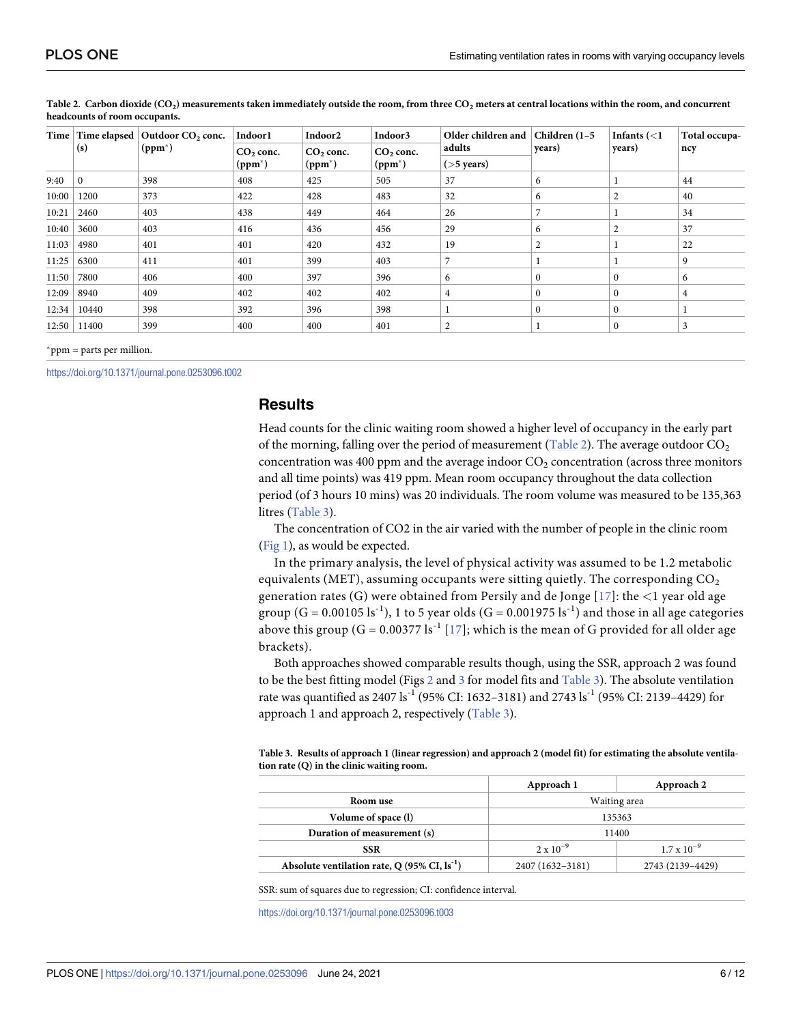| Time  | (s)      | Time elapsed $\vert$ Outdoor CO <sub>2</sub> conc.<br>$(ppm^*)$ | Indoor1<br>$CO2$ conc.<br>$(ppm^*)$ | Indoor <sub>2</sub><br>$CO2$ conc.<br>$(ppm^*)$ | Indoor3<br>$CO2$ conc.<br>$(ppm^*)$ | Older children and | Children (1-5<br>years) | Infants $(<1$<br>years) | Total occupa- |
|-------|----------|-----------------------------------------------------------------|-------------------------------------|-------------------------------------------------|-------------------------------------|--------------------|-------------------------|-------------------------|---------------|
|       |          |                                                                 |                                     |                                                 |                                     | adults             |                         |                         | ncy           |
|       |          |                                                                 |                                     |                                                 |                                     | $($ >5 years)      |                         |                         |               |
| 9:40  | $\Omega$ | 398                                                             | 408                                 | 425                                             | 505                                 | 37                 | 6                       |                         | 44            |
| 10:00 | 1200     | 373                                                             | 422                                 | 428                                             | 483                                 | 32                 | 6                       | 2                       | 40            |
| 10:21 | 2460     | 403                                                             | 438                                 | 449                                             | 464                                 | 26                 |                         |                         | 34            |
| 10:40 | 3600     | 403                                                             | 416                                 | 436                                             | 456                                 | 29                 | 6                       | 2                       | 37            |
| 11:03 | 4980     | 401                                                             | 401                                 | 420                                             | 432                                 | 19                 | 2                       |                         | 22            |
| 11:25 | 6300     | 411                                                             | 401                                 | 399                                             | 403                                 | 7                  |                         |                         | 9             |
| 11:50 | 7800     | 406                                                             | 400                                 | 397                                             | 396                                 | 6                  | $\mathbf{0}$            | $\mathbf{0}$            | 6             |
| 12:09 | 8940     | 409                                                             | 402                                 | 402                                             | 402                                 | 4                  | $\mathbf{0}$            | $\Omega$                | 4             |
| 12:34 | 10440    | 398                                                             | 392                                 | 396                                             | 398                                 |                    | $\theta$                | $\Omega$                |               |
| 12:50 | 11400    | 399                                                             | 400                                 | 400                                             | 401                                 | 2                  |                         | $\Omega$                | 3             |

<span id="page-5-0"></span>[Table](#page-4-0) 2. Carbon dioxide  $(CO_2)$  measurements taken immediately outside the room, from three  $CO_2$  meters at central locations within the room, and concurrent **headcounts of room occupants.**

 $*<sub>ppm</sub> = parts per million.$ 

<https://doi.org/10.1371/journal.pone.0253096.t002>

## **Results**

Head counts for the clinic waiting room showed a higher level of occupancy in the early part of the morning, falling over the period of measurement (Table 2). The average outdoor  $CO<sub>2</sub>$ concentration was 400 ppm and the average indoor  $CO<sub>2</sub>$  concentration (across three monitors and all time points) was 419 ppm. Mean room occupancy throughout the data collection period (of 3 hours 10 mins) was 20 individuals. The room volume was measured to be 135,363 litres (Table 3).

The concentration of CO2 in the air varied with the number of people in the clinic room [\(Fig](#page-6-0) 1), as would be expected.

In the primary analysis, the level of physical activity was assumed to be 1.2 metabolic equivalents (MET), assuming occupants were sitting quietly. The corresponding  $CO<sub>2</sub>$ generation rates (G) were obtained from Persily and de Jonge [[17\]](#page-10-0): the *<*1 year old age group  $(G = 0.00105 \text{ ls}^{-1})$ , 1 to 5 year olds  $(G = 0.001975 \text{ ls}^{-1})$  and those in all age categories above this group  $(G = 0.00377 \text{ ls}^{-1} [17]$  $(G = 0.00377 \text{ ls}^{-1} [17]$  $(G = 0.00377 \text{ ls}^{-1} [17]$ ; which is the mean of G provided for all older age brackets).

Both approaches showed comparable results though, using the SSR, approach 2 was found to be the best fitting model (Figs  $2$  and  $3$  for model fits and Table 3). The absolute ventilation rate was quantified as 2407 ls<sup>-1</sup> (95% CI: 1632–3181) and 2743 ls<sup>-1</sup> (95% CI: 2139–4429) for approach 1 and approach 2, respectively (Table 3).

Table 3. Results of approach 1 (linear regression) and approach 2 (model fit) for estimating the absolute ventila**tion rate (Q) in the clinic waiting room.**

|                                                                  | Approach 1         | Approach 2           |  |
|------------------------------------------------------------------|--------------------|----------------------|--|
| Room use                                                         | Waiting area       |                      |  |
| Volume of space (1)                                              | 135363             |                      |  |
| Duration of measurement (s)                                      | 11400              |                      |  |
| SSR                                                              | $2 \times 10^{-9}$ | $1.7 \times 10^{-9}$ |  |
| Absolute ventilation rate, Q $(95\% \text{ CI}, \text{ls}^{-1})$ | 2407 (1632-3181)   | 2743 (2139-4429)     |  |

SSR: sum of squares due to regression; CI: confidence interval.

<https://doi.org/10.1371/journal.pone.0253096.t003>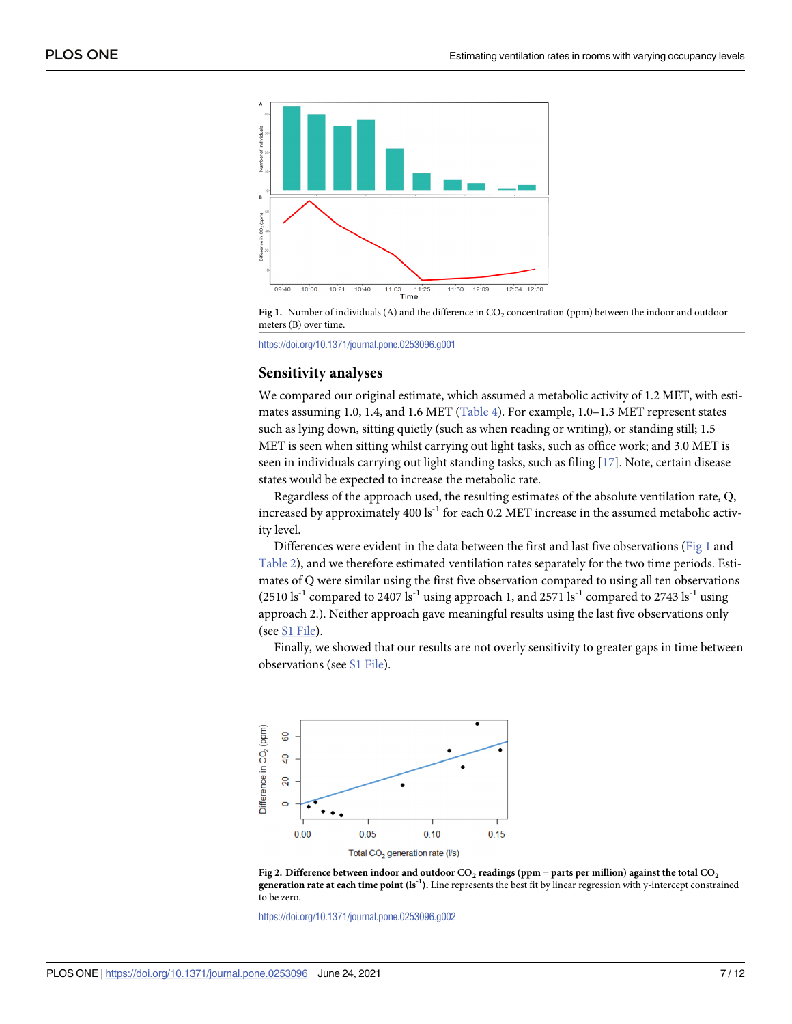<span id="page-6-0"></span>



<https://doi.org/10.1371/journal.pone.0253096.g001>

#### **Sensitivity analyses**

We compared our original estimate, which assumed a metabolic activity of 1.2 MET, with estimates assuming 1.0, 1.4, and 1.6 MET ([Table](#page-7-0) 4). For example, 1.0–1.3 MET represent states such as lying down, sitting quietly (such as when reading or writing), or standing still; 1.5 MET is seen when sitting whilst carrying out light tasks, such as office work; and 3.0 MET is seen in individuals carrying out light standing tasks, such as filing [[17](#page-10-0)]. Note, certain disease states would be expected to increase the metabolic rate.

Regardless of the approach used, the resulting estimates of the absolute ventilation rate, Q, increased by approximately 400  $\mathrm{ls}^{-1}$  for each 0.2 MET increase in the assumed metabolic activity level.

Differences were evident in the data between the first and last five observations (Fig 1 and [Table](#page-5-0) 2), and we therefore estimated ventilation rates separately for the two time periods. Estimates of Q were similar using the first five observation compared to using all ten observations  $(2510 \text{ ls}^{-1}$  compared to 2407 ls<sup>-1</sup> using approach 1, and 2571 ls<sup>-1</sup> compared to 2743 ls<sup>-1</sup> using approach 2.). Neither approach gave meaningful results using the last five observations only (see S1 [File](#page-9-0)).

Finally, we showed that our results are not overly sensitivity to greater gaps in time between observations (see S1 [File\)](#page-9-0).



[Fig](#page-5-0) 2. Difference between indoor and outdoor  $CO_2$  readings (ppm = parts per million) against the total  $CO_2$ **generation rate at each time point (ls-1).** Line represents the best fit by linear regression with y-intercept constrained to be zero.

<https://doi.org/10.1371/journal.pone.0253096.g002>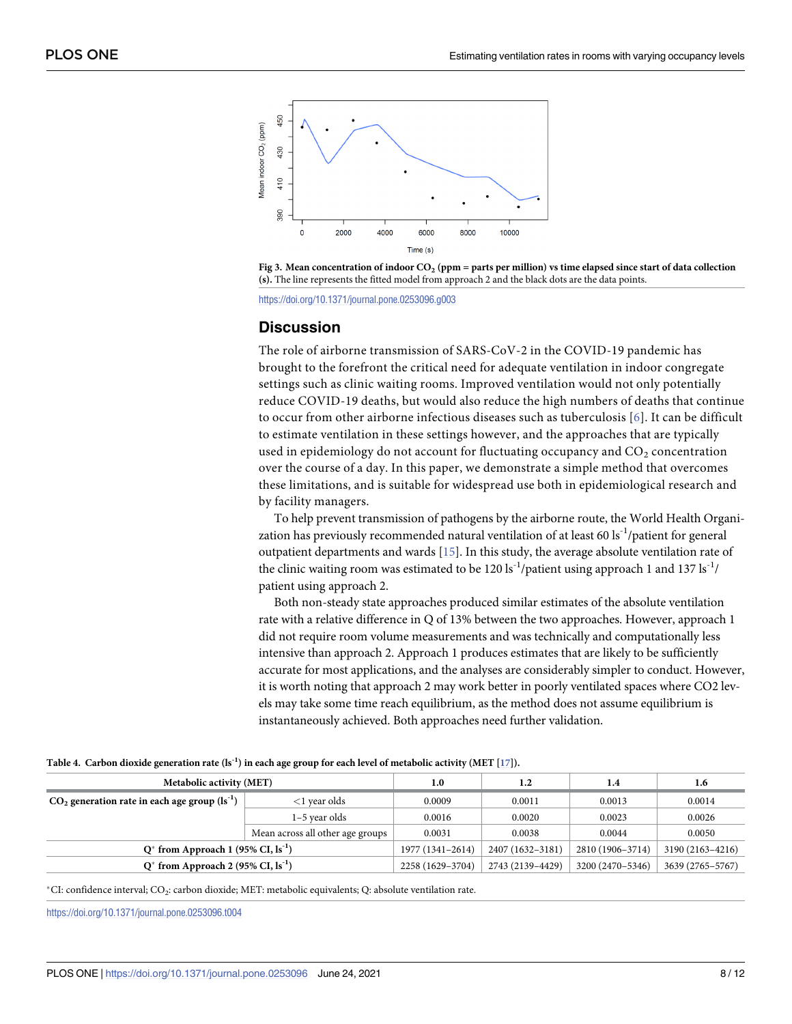<span id="page-7-0"></span>



<https://doi.org/10.1371/journal.pone.0253096.g003>

#### **Discussion**

The role of airborne transmission of SARS-CoV-2 in the COVID-19 pandemic has brought to the forefront the critical need for adequate ventilation in indoor congregate settings such as clinic waiting rooms. Improved ventilation would not only potentially reduce COVID-19 deaths, but would also reduce the high numbers of deaths that continue to occur from other airborne infectious diseases such as tuberculosis [[6](#page-10-0)]. It can be difficult to estimate ventilation in these settings however, and the approaches that are typically used in epidemiology do not account for fluctuating occupancy and  $CO<sub>2</sub>$  concentration over the course of a day. In this paper, we demonstrate a simple method that overcomes these limitations, and is suitable for widespread use both in epidemiological research and by facility managers.

To help prevent transmission of pathogens by the airborne route, the World Health Organization has previously recommended natural ventilation of at least 60 ls<sup>-1</sup>/patient for general outpatient departments and wards [[15](#page-10-0)]. In this study, the average absolute ventilation rate of the clinic waiting room was estimated to be 120 ls<sup>-1</sup>/patient using approach 1 and 137 ls<sup>-1</sup>/ patient using approach 2.

Both non-steady state approaches produced similar estimates of the absolute ventilation rate with a relative difference in Q of 13% between the two approaches. However, approach 1 did not require room volume measurements and was technically and computationally less intensive than approach 2. Approach 1 produces estimates that are likely to be sufficiently accurate for most applications, and the analyses are considerably simpler to conduct. However, it is worth noting that approach 2 may work better in poorly ventilated spaces where CO2 levels may take some time reach equilibrium, as the method does not assume equilibrium is instantaneously achieved. Both approaches need further validation.

| <b>Metabolic activity (MET)</b>                     | 1.0                              | 1.2              | 1.4              | 1.6              |        |
|-----------------------------------------------------|----------------------------------|------------------|------------------|------------------|--------|
| $CO2$ generation rate in each age group $(1s^{-1})$ | $<$ 1 vear olds                  | 0.0009           | 0.0011           | 0.0013           | 0.0014 |
|                                                     | 1-5 year olds                    | 0.0016           | 0.0020           | 0.0023           | 0.0026 |
|                                                     | Mean across all other age groups | 0.0031           | 0.0038           | 0.0044           | 0.0050 |
| $Q^*$ from Approach 1 (95% CI, $ls^{-1}$ )          | 1977 (1341-2614)                 | 2407 (1632-3181) | 2810 (1906-3714) | 3190 (2163-4216) |        |
| $Q^*$ from Approach 2 (95% CI, $ls^{-1}$ )          | 2258 (1629-3704)                 | 2743 (2139-4429) | 3200 (2470-5346) | 3639 (2765-5767) |        |

[Table](#page-6-0) 4. Carbon dioxide generation rate  $(Is^{-1})$  in each age group for each level of metabolic activity (MET [[17\]](#page-10-0)).

�CI: confidence interval; CO2: carbon dioxide; MET: metabolic equivalents; Q: absolute ventilation rate.

<https://doi.org/10.1371/journal.pone.0253096.t004>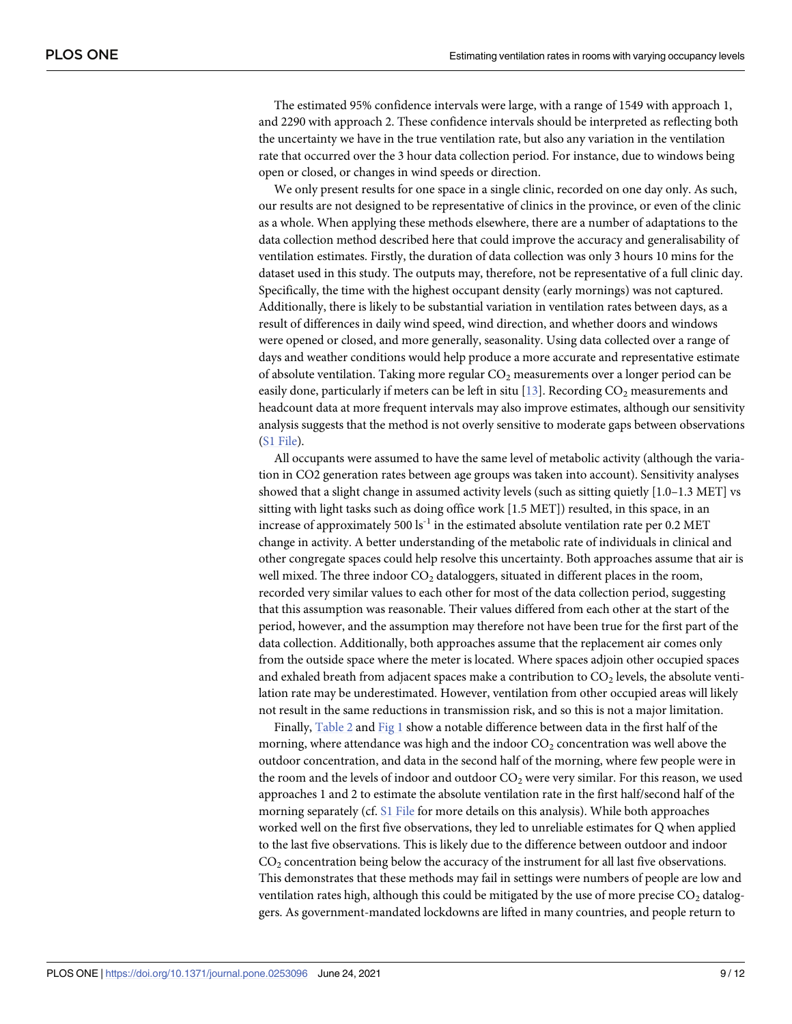<span id="page-8-0"></span>The estimated 95% confidence intervals were large, with a range of 1549 with approach 1, and 2290 with approach 2. These confidence intervals should be interpreted as reflecting both the uncertainty we have in the true ventilation rate, but also any variation in the ventilation rate that occurred over the 3 hour data collection period. For instance, due to windows being open or closed, or changes in wind speeds or direction.

We only present results for one space in a single clinic, recorded on one day only. As such, our results are not designed to be representative of clinics in the province, or even of the clinic as a whole. When applying these methods elsewhere, there are a number of adaptations to the data collection method described here that could improve the accuracy and generalisability of ventilation estimates. Firstly, the duration of data collection was only 3 hours 10 mins for the dataset used in this study. The outputs may, therefore, not be representative of a full clinic day. Specifically, the time with the highest occupant density (early mornings) was not captured. Additionally, there is likely to be substantial variation in ventilation rates between days, as a result of differences in daily wind speed, wind direction, and whether doors and windows were opened or closed, and more generally, seasonality. Using data collected over a range of days and weather conditions would help produce a more accurate and representative estimate of absolute ventilation. Taking more regular  $CO<sub>2</sub>$  measurements over a longer period can be easily done, particularly if meters can be left in situ [[13](#page-10-0)]. Recording  $CO<sub>2</sub>$  measurements and headcount data at more frequent intervals may also improve estimates, although our sensitivity analysis suggests that the method is not overly sensitive to moderate gaps between observations (S1 [File\)](#page-9-0).

All occupants were assumed to have the same level of metabolic activity (although the variation in CO2 generation rates between age groups was taken into account). Sensitivity analyses showed that a slight change in assumed activity levels (such as sitting quietly [1.0–1.3 MET] vs sitting with light tasks such as doing office work [1.5 MET]) resulted, in this space, in an increase of approximately 500 ls<sup>-1</sup> in the estimated absolute ventilation rate per  $0.2 \text{ MET}$ change in activity. A better understanding of the metabolic rate of individuals in clinical and other congregate spaces could help resolve this uncertainty. Both approaches assume that air is well mixed. The three indoor  $CO<sub>2</sub>$  dataloggers, situated in different places in the room, recorded very similar values to each other for most of the data collection period, suggesting that this assumption was reasonable. Their values differed from each other at the start of the period, however, and the assumption may therefore not have been true for the first part of the data collection. Additionally, both approaches assume that the replacement air comes only from the outside space where the meter is located. Where spaces adjoin other occupied spaces and exhaled breath from adjacent spaces make a contribution to  $CO<sub>2</sub>$  levels, the absolute ventilation rate may be underestimated. However, ventilation from other occupied areas will likely not result in the same reductions in transmission risk, and so this is not a major limitation.

Finally, [Table](#page-5-0) 2 and [Fig](#page-6-0) 1 show a notable difference between data in the first half of the morning, where attendance was high and the indoor  $CO<sub>2</sub>$  concentration was well above the outdoor concentration, and data in the second half of the morning, where few people were in the room and the levels of indoor and outdoor CO<sub>2</sub> were very similar. For this reason, we used approaches 1 and 2 to estimate the absolute ventilation rate in the first half/second half of the morning separately (cf. S1 [File](#page-9-0) for more details on this analysis). While both approaches worked well on the first five observations, they led to unreliable estimates for Q when applied to the last five observations. This is likely due to the difference between outdoor and indoor  $CO<sub>2</sub>$  concentration being below the accuracy of the instrument for all last five observations. This demonstrates that these methods may fail in settings were numbers of people are low and ventilation rates high, although this could be mitigated by the use of more precise  $CO<sub>2</sub>$  dataloggers. As government-mandated lockdowns are lifted in many countries, and people return to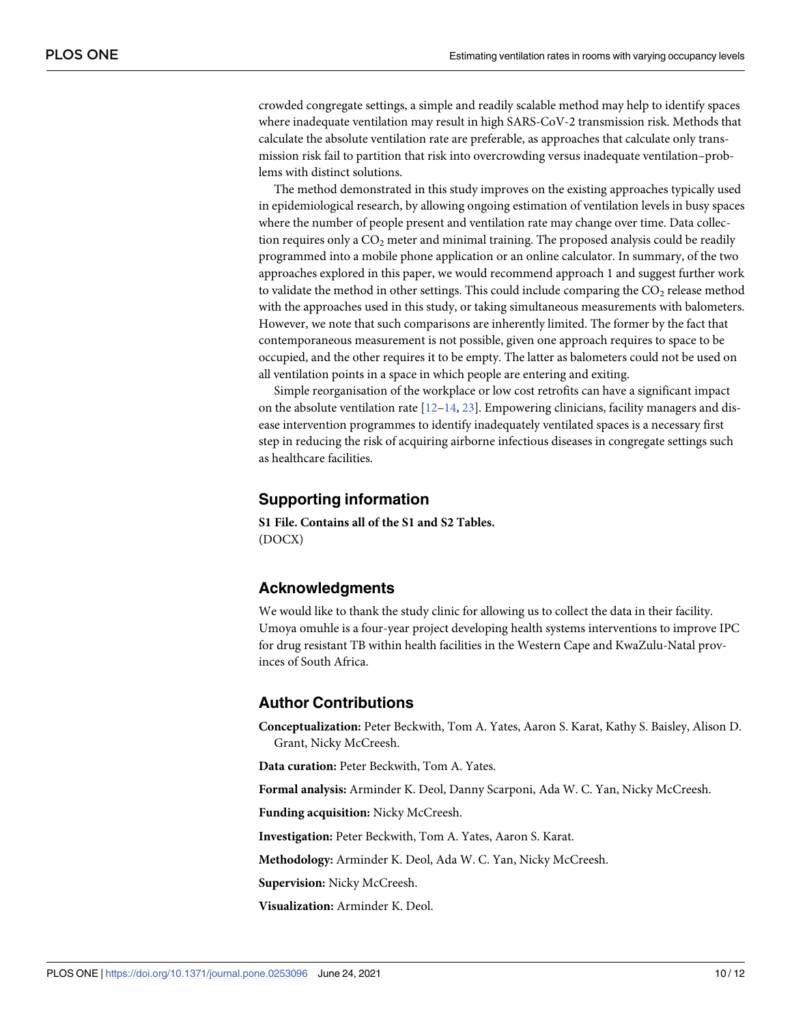<span id="page-9-0"></span>crowded congregate settings, a simple and readily scalable method may help to identify spaces where inadequate ventilation may result in high SARS-CoV-2 transmission risk. Methods that calculate the absolute ventilation rate are preferable, as approaches that calculate only transmission risk fail to partition that risk into overcrowding versus inadequate ventilation–problems with distinct solutions.

The method demonstrated in this study improves on the existing approaches typically used in epidemiological research, by allowing ongoing estimation of ventilation levels in busy spaces where the number of people present and ventilation rate may change over time. Data collection requires only a  $CO<sub>2</sub>$  meter and minimal training. The proposed analysis could be readily programmed into a mobile phone application or an online calculator. In summary, of the two approaches explored in this paper, we would recommend approach 1 and suggest further work to validate the method in other settings. This could include comparing the  $CO<sub>2</sub>$  release method with the approaches used in this study, or taking simultaneous measurements with balometers. However, we note that such comparisons are inherently limited. The former by the fact that contemporaneous measurement is not possible, given one approach requires to space to be occupied, and the other requires it to be empty. The latter as balometers could not be used on all ventilation points in a space in which people are entering and exiting.

Simple reorganisation of the workplace or low cost retrofits can have a significant impact on the absolute ventilation rate  $[12–14, 23]$  $[12–14, 23]$  $[12–14, 23]$  $[12–14, 23]$ . Empowering clinicians, facility managers and disease intervention programmes to identify inadequately ventilated spaces is a necessary first step in reducing the risk of acquiring airborne infectious diseases in congregate settings such as healthcare facilities.

#### **Supporting information**

**S1 [File.](http://www.plosone.org/article/fetchSingleRepresentation.action?uri=info:doi/10.1371/journal.pone.0253096.s001) Contains all of the S1 and S2 Tables.** (DOCX)

## **Acknowledgments**

We would like to thank the study clinic for allowing us to collect the data in their facility. Umoya omuhle is a four-year project developing health systems interventions to improve IPC for drug resistant TB within health facilities in the Western Cape and KwaZulu-Natal provinces of South Africa.

## **Author Contributions**

**Conceptualization:** Peter Beckwith, Tom A. Yates, Aaron S. Karat, Kathy S. Baisley, Alison D. Grant, Nicky McCreesh.

**Data curation:** Peter Beckwith, Tom A. Yates.

**Formal analysis:** Arminder K. Deol, Danny Scarponi, Ada W. C. Yan, Nicky McCreesh.

**Funding acquisition:** Nicky McCreesh.

**Investigation:** Peter Beckwith, Tom A. Yates, Aaron S. Karat.

**Methodology:** Arminder K. Deol, Ada W. C. Yan, Nicky McCreesh.

**Supervision:** Nicky McCreesh.

**Visualization:** Arminder K. Deol.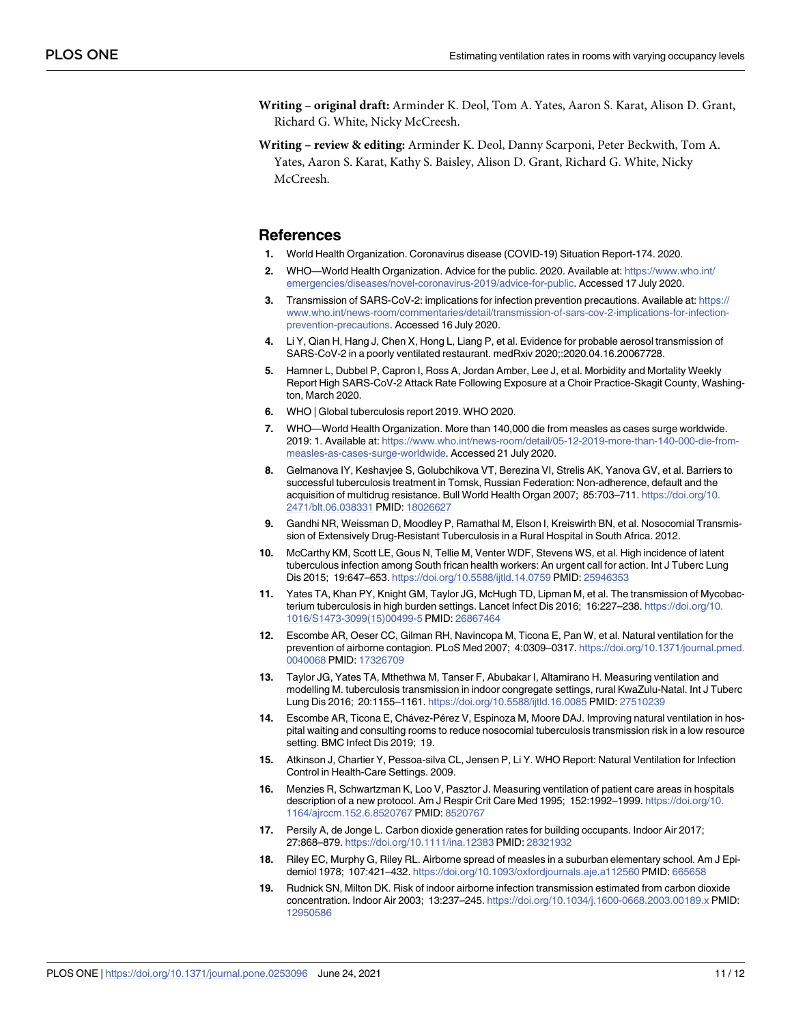- <span id="page-10-0"></span>**Writing – original draft:** Arminder K. Deol, Tom A. Yates, Aaron S. Karat, Alison D. Grant, Richard G. White, Nicky McCreesh.
- **Writing – review & editing:** Arminder K. Deol, Danny Scarponi, Peter Beckwith, Tom A. Yates, Aaron S. Karat, Kathy S. Baisley, Alison D. Grant, Richard G. White, Nicky McCreesh.

#### **References**

- **[1](#page-1-0).** World Health Organization. Coronavirus disease (COVID-19) Situation Report-174. 2020.
- **[2](#page-1-0).** WHO—World Health Organization. Advice for the public. 2020. Available at: [https://www.who.int/](https://www.who.int/emergencies/diseases/novel-coronavirus-2019/advice-for-public) [emergencies/diseases/novel-coronavirus-2019/advice-for-public.](https://www.who.int/emergencies/diseases/novel-coronavirus-2019/advice-for-public) Accessed 17 July 2020.
- **[3](#page-1-0).** Transmission of SARS-CoV-2: implications for infection prevention precautions. Available at: [https://](https://www.who.int/news-room/commentaries/detail/transmission-of-sars-cov-2-implications-for-infection-prevention-precautions) [www.who.int/news-room/commentaries/detail/transmission-of-sars-cov-2-implications-for-infection](https://www.who.int/news-room/commentaries/detail/transmission-of-sars-cov-2-implications-for-infection-prevention-precautions)[prevention-precautions](https://www.who.int/news-room/commentaries/detail/transmission-of-sars-cov-2-implications-for-infection-prevention-precautions). Accessed 16 July 2020.
- **4.** Li Y, Qian H, Hang J, Chen X, Hong L, Liang P, et al. Evidence for probable aerosol transmission of SARS-CoV-2 in a poorly ventilated restaurant. medRxiv 2020;:2020.04.16.20067728.
- **[5](#page-1-0).** Hamner L, Dubbel P, Capron I, Ross A, Jordan Amber, Lee J, et al. Morbidity and Mortality Weekly Report High SARS-CoV-2 Attack Rate Following Exposure at a Choir Practice-Skagit County, Washington, March 2020.
- **[6](#page-1-0).** WHO | Global tuberculosis report 2019. WHO 2020.
- **[7](#page-1-0).** WHO—World Health Organization. More than 140,000 die from measles as cases surge worldwide. 2019: 1. Available at: [https://www.who.int/news-room/detail/05-12-2019-more-than-140-000-die-from](https://www.who.int/news-room/detail/05-12-2019-more-than-140-000-die-from-measles-as-cases-surge-worldwide)[measles-as-cases-surge-worldwide.](https://www.who.int/news-room/detail/05-12-2019-more-than-140-000-die-from-measles-as-cases-surge-worldwide) Accessed 21 July 2020.
- **[8](#page-1-0).** Gelmanova IY, Keshavjee S, Golubchikova VT, Berezina VI, Strelis AK, Yanova GV, et al. Barriers to successful tuberculosis treatment in Tomsk, Russian Federation: Non-adherence, default and the acquisition of multidrug resistance. Bull World Health Organ 2007; 85:703–711. [https://doi.org/10.](https://doi.org/10.2471/blt.06.038331) [2471/blt.06.038331](https://doi.org/10.2471/blt.06.038331) PMID: [18026627](http://www.ncbi.nlm.nih.gov/pubmed/18026627)
- **9.** Gandhi NR, Weissman D, Moodley P, Ramathal M, Elson I, Kreiswirth BN, et al. Nosocomial Transmission of Extensively Drug-Resistant Tuberculosis in a Rural Hospital in South Africa. 2012.
- **[10](#page-1-0).** McCarthy KM, Scott LE, Gous N, Tellie M, Venter WDF, Stevens WS, et al. High incidence of latent tuberculous infection among South frican health workers: An urgent call for action. Int J Tuberc Lung Dis 2015; 19:647–653. <https://doi.org/10.5588/ijtld.14.0759> PMID: [25946353](http://www.ncbi.nlm.nih.gov/pubmed/25946353)
- **[11](#page-1-0).** Yates TA, Khan PY, Knight GM, Taylor JG, McHugh TD, Lipman M, et al. The transmission of Mycobacterium tuberculosis in high burden settings. Lancet Infect Dis 2016; 16:227–238. [https://doi.org/10.](https://doi.org/10.1016/S1473-3099(15)00499-5) [1016/S1473-3099\(15\)00499-5](https://doi.org/10.1016/S1473-3099(15)00499-5) PMID: [26867464](http://www.ncbi.nlm.nih.gov/pubmed/26867464)
- **[12](#page-9-0).** Escombe AR, Oeser CC, Gilman RH, Navincopa M, Ticona E, Pan W, et al. Natural ventilation for the prevention of airborne contagion. PLoS Med 2007; 4:0309–0317. [https://doi.org/10.1371/journal.pmed.](https://doi.org/10.1371/journal.pmed.0040068) [0040068](https://doi.org/10.1371/journal.pmed.0040068) PMID: [17326709](http://www.ncbi.nlm.nih.gov/pubmed/17326709)
- **[13](#page-8-0).** Taylor JG, Yates TA, Mthethwa M, Tanser F, Abubakar I, Altamirano H. Measuring ventilation and modelling M. tuberculosis transmission in indoor congregate settings, rural KwaZulu-Natal. Int J Tuberc Lung Dis 2016; 20:1155–1161. <https://doi.org/10.5588/ijtld.16.0085> PMID: [27510239](http://www.ncbi.nlm.nih.gov/pubmed/27510239)
- **[14](#page-1-0).** Escombe AR, Ticona E, Chávez-Pérez V, Espinoza M, Moore DAJ. Improving natural ventilation in hospital waiting and consulting rooms to reduce nosocomial tuberculosis transmission risk in a low resource setting. BMC Infect Dis 2019; 19.
- **[15](#page-1-0).** Atkinson J, Chartier Y, Pessoa-silva CL, Jensen P, Li Y. WHO Report: Natural Ventilation for Infection Control in Health-Care Settings. 2009.
- **[16](#page-1-0).** Menzies R, Schwartzman K, Loo V, Pasztor J. Measuring ventilation of patient care areas in hospitals description of a new protocol. Am J Respir Crit Care Med 1995; 152:1992–1999. [https://doi.org/10.](https://doi.org/10.1164/ajrccm.152.6.8520767) [1164/ajrccm.152.6.8520767](https://doi.org/10.1164/ajrccm.152.6.8520767) PMID: [8520767](http://www.ncbi.nlm.nih.gov/pubmed/8520767)
- **[17](#page-1-0).** Persily A, de Jonge L. Carbon dioxide generation rates for building occupants. Indoor Air 2017; 27:868–879. <https://doi.org/10.1111/ina.12383> PMID: [28321932](http://www.ncbi.nlm.nih.gov/pubmed/28321932)
- **[18](#page-1-0).** Riley EC, Murphy G, Riley RL. Airborne spread of measles in a suburban elementary school. Am J Epidemiol 1978; 107:421–432. <https://doi.org/10.1093/oxfordjournals.aje.a112560> PMID: [665658](http://www.ncbi.nlm.nih.gov/pubmed/665658)
- **[19](#page-1-0).** Rudnick SN, Milton DK. Risk of indoor airborne infection transmission estimated from carbon dioxide concentration. Indoor Air 2003; 13:237–245. <https://doi.org/10.1034/j.1600-0668.2003.00189.x> PMID: [12950586](http://www.ncbi.nlm.nih.gov/pubmed/12950586)